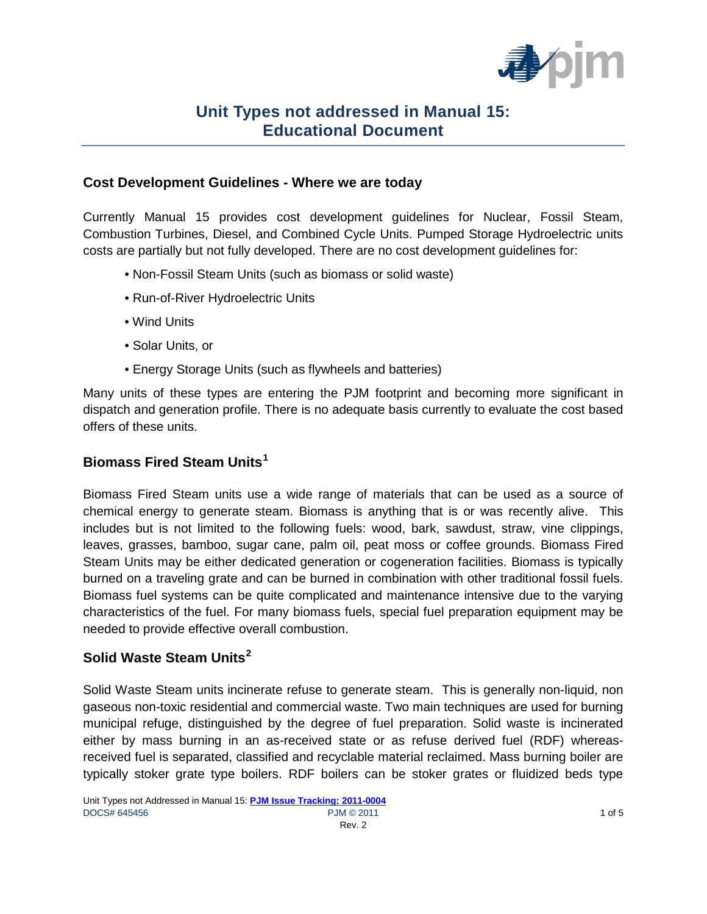

#### **Cost Development Guidelines - Where we are today**

Currently Manual 15 provides cost development guidelines for Nuclear, Fossil Steam, Combustion Turbines, Diesel, and Combined Cycle Units. Pumped Storage Hydroelectric units costs are partially but not fully developed. There are no cost development guidelines for:

- Non-Fossil Steam Units (such as biomass or solid waste)
- Run-of-River Hydroelectric Units
- Wind Units
- Solar Units, or
- Energy Storage Units (such as flywheels and batteries)

Many units of these types are entering the PJM footprint and becoming more significant in dispatch and generation profile. There is no adequate basis currently to evaluate the cost based offers of these units.

## **Biomass Fired Steam Units[1](#page-3-0)**

Biomass Fired Steam units use a wide range of materials that can be used as a source of chemical energy to generate steam. Biomass is anything that is or was recently alive. This includes but is not limited to the following fuels: wood, bark, sawdust, straw, vine clippings, leaves, grasses, bamboo, sugar cane, palm oil, peat moss or coffee grounds. Biomass Fired Steam Units may be either dedicated generation or cogeneration facilities. Biomass is typically burned on a traveling grate and can be burned in combination with other traditional fossil fuels. Biomass fuel systems can be quite complicated and maintenance intensive due to the varying characteristics of the fuel. For many biomass fuels, special fuel preparation equipment may be needed to provide effective overall combustion.

## **Solid Waste Steam Units[2](#page-3-1)**

Solid Waste Steam units incinerate refuse to generate steam. This is generally non-liquid, non gaseous non-toxic residential and commercial waste. Two main techniques are used for burning municipal refuge, distinguished by the degree of fuel preparation. Solid waste is incinerated either by mass burning in an as-received state or as refuse derived fuel (RDF) whereasreceived fuel is separated, classified and recyclable material reclaimed. Mass burning boiler are typically stoker grate type boilers. RDF boilers can be stoker grates or fluidized beds type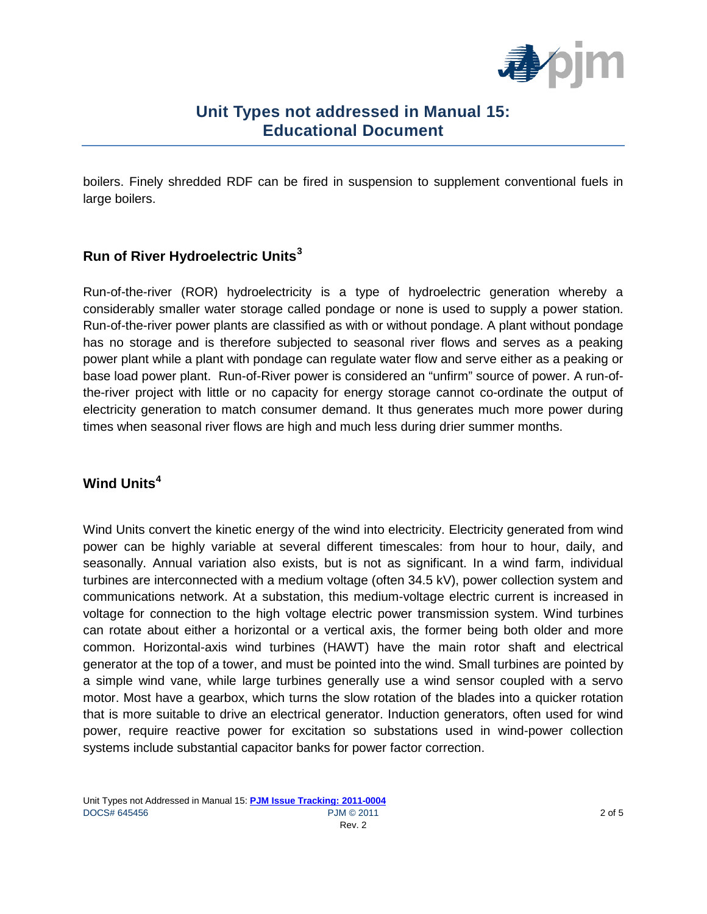

boilers. Finely shredded RDF can be fired in suspension to supplement conventional fuels in large boilers.

### **Run of River Hydroelectric Units[3](#page-3-2)**

Run-of-the-river (ROR) hydroelectricity is a type of hydroelectric generation whereby a considerably smaller water storage called pondage or none is used to supply a power station. Run-of-the-river power plants are classified as with or without pondage. A plant without pondage has no storage and is therefore subjected to seasonal river flows and serves as a peaking power plant while a plant with pondage can regulate water flow and serve either as a peaking or base load power plant. Run-of-River power is considered an "unfirm" source of power. A run-ofthe-river project with little or no capacity for energy storage cannot co-ordinate the output of electricity generation to match consumer demand. It thus generates much more power during times when seasonal river flows are high and much less during drier summer months.

#### **Wind Units[4](#page-3-3)**

Wind Units convert the kinetic energy of the wind into electricity. Electricity generated from wind power can be highly variable at several different timescales: from hour to hour, daily, and seasonally. Annual variation also exists, but is not as significant. In a wind farm, individual turbines are interconnected with a medium voltage (often 34.5 kV), power collection system and communications network. At a substation, this medium-voltage electric current is increased in voltage for connection to the high voltage electric power transmission system. Wind turbines can rotate about either a horizontal or a vertical axis, the former being both older and more common. Horizontal-axis wind turbines (HAWT) have the main rotor shaft and electrical generator at the top of a tower, and must be pointed into the wind. Small turbines are pointed by a simple wind vane, while large turbines generally use a wind sensor coupled with a servo motor. Most have a gearbox, which turns the slow rotation of the blades into a quicker rotation that is more suitable to drive an electrical generator. Induction generators, often used for wind power, require reactive power for excitation so substations used in wind-power collection systems include substantial capacitor banks for power factor correction.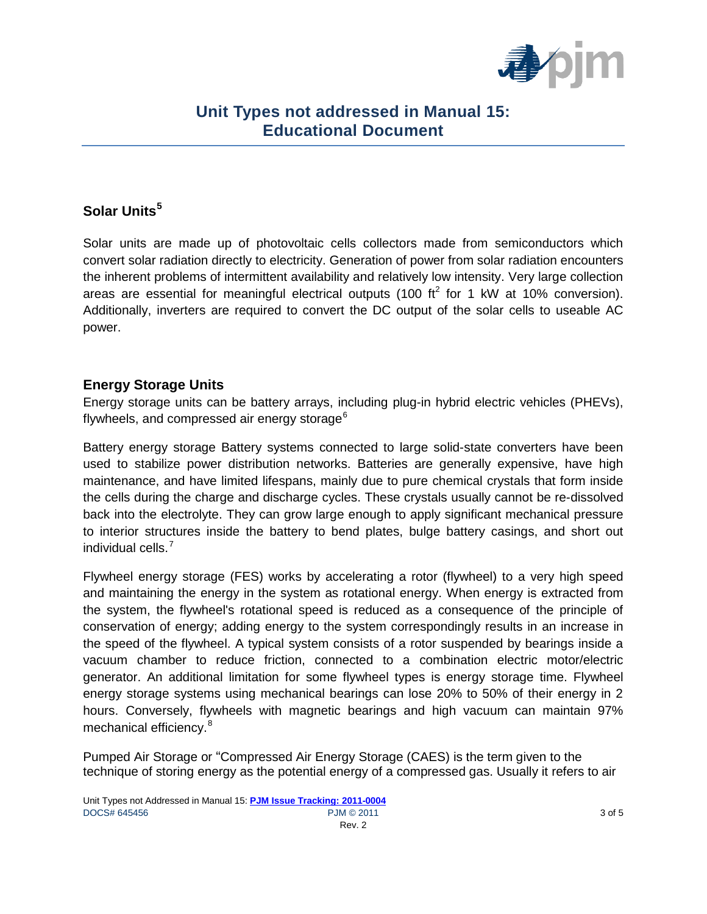

## **Solar Units[5](#page-3-4)**

Solar units are made up of photovoltaic cells collectors made from semiconductors which convert solar radiation directly to electricity. Generation of power from solar radiation encounters the inherent problems of intermittent availability and relatively low intensity. Very large collection areas are essential for meaningful electrical outputs (100 ft<sup>2</sup> for 1 kW at 10% conversion). Additionally, inverters are required to convert the DC output of the solar cells to useable AC power.

#### **Energy Storage Units**

Energy storage units can be battery arrays, including plug-in hybrid electric vehicles (PHEVs), flywheels, and compressed air energy storage $^6$  $^6$ 

Battery energy storage Battery systems connected to large solid-state converters have been used to stabilize power distribution networks. Batteries are generally expensive, have high maintenance, and have limited lifespans, mainly due to pure chemical crystals that form inside the cells during the charge and discharge cycles. These crystals usually cannot be re-dissolved back into the electrolyte. They can grow large enough to apply significant mechanical pressure to interior structures inside the battery to bend plates, bulge battery casings, and short out individual cells.<sup>[7](#page-3-6)</sup>

Flywheel energy storage (FES) works by accelerating a rotor (flywheel) to a very high speed and maintaining the energy in the system as rotational energy. When energy is extracted from the system, the flywheel's rotational speed is reduced as a consequence of the principle of conservation of energy; adding energy to the system correspondingly results in an increase in the speed of the flywheel. A typical system consists of a rotor suspended by bearings inside a vacuum chamber to reduce friction, connected to a combination electric motor/electric generator. An additional limitation for some flywheel types is energy storage time. Flywheel energy storage systems using mechanical bearings can lose 20% to 50% of their energy in 2 hours. Conversely, flywheels with magnetic bearings and high vacuum can maintain 97% mechanical efficiency.<sup>[8](#page-3-7)</sup>

Pumped Air Storage or "Compressed Air Energy Storage (CAES) is the term given to the technique of storing energy as the potential energy of a compressed gas. Usually it refers to air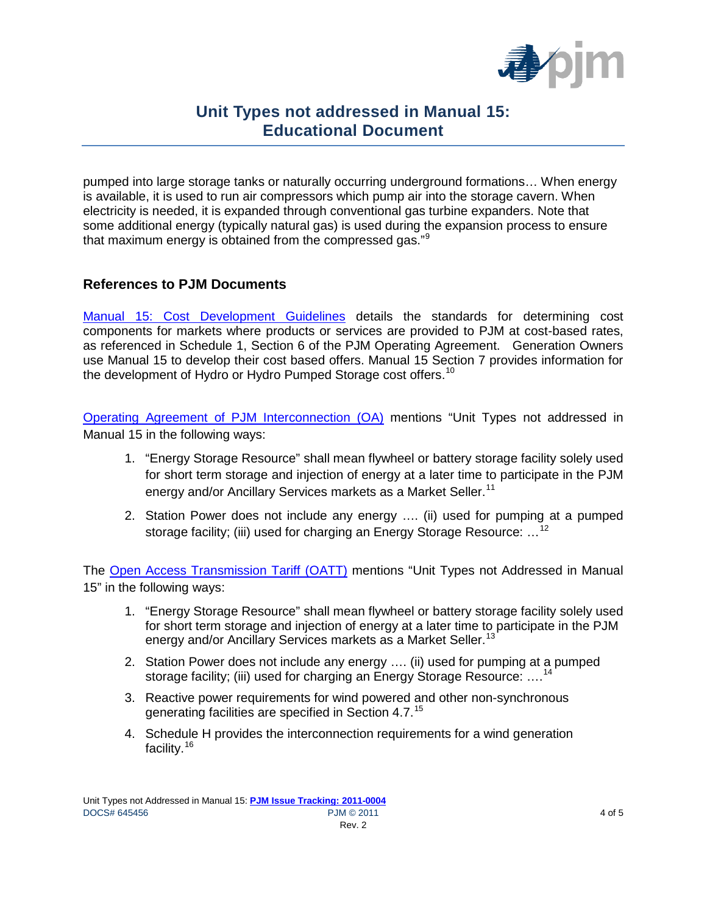

pumped into large storage tanks or naturally occurring underground formations… When energy is available, it is used to run air compressors which pump air into the storage cavern. When electricity is needed, it is expanded through conventional gas turbine expanders. Note that some additional energy (typically natural gas) is used during the expansion process to ensure that maximum energy is obtained from the compressed gas."<sup>[9](#page-3-8)</sup>

#### **References to PJM Documents**

<span id="page-3-1"></span><span id="page-3-0"></span>[Manual 15: Cost Development Guidelines](http://pjm.com/~/media/committees-groups/committees/mrc/20101117/20101117-item-09b-draft-manual-15.ashx) details the standards for determining cost components for markets where products or services are provided to PJM at cost-based rates, as referenced in Schedule 1, Section 6 of the PJM Operating Agreement. Generation Owners use Manual 15 to develop their cost based offers. Manual 15 Section 7 provides information for the development of Hydro or Hydro Pumped Storage cost offers.<sup>10</sup>

<span id="page-3-5"></span><span id="page-3-4"></span><span id="page-3-3"></span><span id="page-3-2"></span>[Operating Agreement of PJM Interconnection \(OA\)](http://www.pjm.com/documents/~/media/documents/agreements/oa-614.ashx) mentions "Unit Types not addressed in Manual 15 in the following ways:

- 1. "Energy Storage Resource" shall mean flywheel or battery storage facility solely used for short term storage and injection of energy at a later time to participate in the PJM energy and/or Ancillary Services markets as a Market Seller.<sup>[11](#page-3-10)</sup>
- 2. Station Power does not include any energy …. (ii) used for pumping at a pumped storage facility; (iii) used for charging an Energy Storage Resource:  $...$ <sup>[12](#page-3-11)</sup>

<span id="page-3-13"></span><span id="page-3-12"></span><span id="page-3-11"></span><span id="page-3-10"></span><span id="page-3-9"></span><span id="page-3-8"></span><span id="page-3-7"></span><span id="page-3-6"></span>The [Open Access Transmission Tariff \(OATT\)](http://pjm.com/documents/~/media/documents/agreements/tariff-614.ashx) mentions "Unit Types not Addressed in Manual 15" in the following ways:

- 1. "Energy Storage Resource" shall mean flywheel or battery storage facility solely used for short term storage and injection of energy at a later time to participate in the PJM energy and/or Ancillary Services markets as a Market Seller.<sup>[13](#page-3-12)</sup>
- <span id="page-3-14"></span>2. Station Power does not include any energy …. (ii) used for pumping at a pumped storage facility; (iii) used for charging an Energy Storage Resource: ....<sup>[14](#page-3-13)</sup>
- <span id="page-3-16"></span><span id="page-3-15"></span>3. Reactive power requirements for wind powered and other non-synchronous generating facilities are specified in Section 4.7.<sup>[15](#page-3-14)</sup>
- 4. Schedule H provides the interconnection requirements for a wind generation facility.<sup>16</sup>